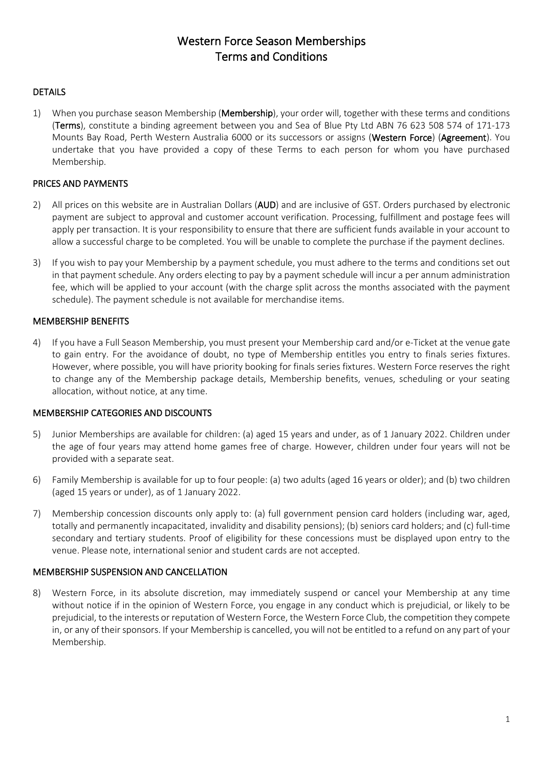# Western Force Season Memberships Terms and Conditions

### **DETAILS**

1) When you purchase season Membership (Membership), your order will, together with these terms and conditions (Terms), constitute a binding agreement between you and Sea of Blue Pty Ltd ABN 76 623 508 574 of 171-173 Mounts Bay Road, Perth Western Australia 6000 or its successors or assigns (Western Force) (Agreement). You undertake that you have provided a copy of these Terms to each person for whom you have purchased Membership.

## PRICES AND PAYMENTS

- 2) All prices on this website are in Australian Dollars (AUD) and are inclusive of GST. Orders purchased by electronic payment are subject to approval and customer account verification. Processing, fulfillment and postage fees will apply per transaction. It is your responsibility to ensure that there are sufficient funds available in your account to allow a successful charge to be completed. You will be unable to complete the purchase if the payment declines.
- 3) If you wish to pay your Membership by a payment schedule, you must adhere to the terms and conditions set out in that payment schedule. Any orders electing to pay by a payment schedule will incur a per annum administration fee, which will be applied to your account (with the charge split across the months associated with the payment schedule). The payment schedule is not available for merchandise items.

## MEMBERSHIP BENEFITS

4) If you have a Full Season Membership, you must present your Membership card and/or e-Ticket at the venue gate to gain entry. For the avoidance of doubt, no type of Membership entitles you entry to finals series fixtures. However, where possible, you will have priority booking for finals series fixtures. Western Force reserves the right to change any of the Membership package details, Membership benefits, venues, scheduling or your seating allocation, without notice, at any time.

### MEMBERSHIP CATEGORIES AND DISCOUNTS

- 5) Junior Memberships are available for children: (a) aged 15 years and under, as of 1 January 2022. Children under the age of four years may attend home games free of charge. However, children under four years will not be provided with a separate seat.
- 6) Family Membership is available for up to four people: (a) two adults (aged 16 years or older); and (b) two children (aged 15 years or under), as of 1 January 2022.
- 7) Membership concession discounts only apply to: (a) full government pension card holders (including war, aged, totally and permanently incapacitated, invalidity and disability pensions); (b) seniors card holders; and (c) full-time secondary and tertiary students. Proof of eligibility for these concessions must be displayed upon entry to the venue. Please note, international senior and student cards are not accepted.

### MEMBERSHIP SUSPENSION AND CANCELLATION

8) Western Force, in its absolute discretion, may immediately suspend or cancel your Membership at any time without notice if in the opinion of Western Force, you engage in any conduct which is prejudicial, or likely to be prejudicial, to the interests or reputation of Western Force, the Western Force Club, the competition they compete in, or any of their sponsors. If your Membership is cancelled, you will not be entitled to a refund on any part of your Membership.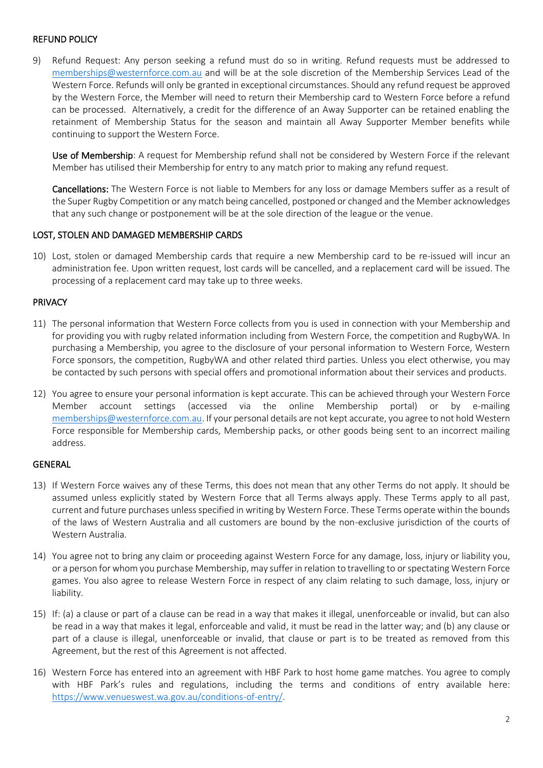### REFUND POLICY

9) Refund Request: Any person seeking a refund must do so in writing. Refund requests must be addressed to [memberships@westernforce.com.au](mailto:memberships@westernforce.com.au) and will be at the sole discretion of the Membership Services Lead of the Western Force. Refunds will only be granted in exceptional circumstances. Should any refund request be approved by the Western Force, the Member will need to return their Membership card to Western Force before a refund can be processed. Alternatively, a credit for the difference of an Away Supporter can be retained enabling the retainment of Membership Status for the season and maintain all Away Supporter Member benefits while continuing to support the Western Force.

Use of Membership: A request for Membership refund shall not be considered by Western Force if the relevant Member has utilised their Membership for entry to any match prior to making any refund request.

Cancellations: The Western Force is not liable to Members for any loss or damage Members suffer as a result of the Super Rugby Competition or any match being cancelled, postponed or changed and the Member acknowledges that any such change or postponement will be at the sole direction of the league or the venue.

#### LOST, STOLEN AND DAMAGED MEMBERSHIP CARDS

10) Lost, stolen or damaged Membership cards that require a new Membership card to be re-issued will incur an administration fee. Upon written request, lost cards will be cancelled, and a replacement card will be issued. The processing of a replacement card may take up to three weeks.

#### PRIVACY

- 11) The personal information that Western Force collects from you is used in connection with your Membership and for providing you with rugby related information including from Western Force, the competition and RugbyWA. In purchasing a Membership, you agree to the disclosure of your personal information to Western Force, Western Force sponsors, the competition, RugbyWA and other related third parties. Unless you elect otherwise, you may be contacted by such persons with special offers and promotional information about their services and products.
- 12) You agree to ensure your personal information is kept accurate. This can be achieved through your Western Force Member account settings (accessed via the online Membership portal) or by e-mailing [memberships@westernforce.com.au.](mailto:memberships@westernforce.com.au) If your personal details are not kept accurate, you agree to not hold Western Force responsible for Membership cards, Membership packs, or other goods being sent to an incorrect mailing address.

#### GENERAL

- 13) If Western Force waives any of these Terms, this does not mean that any other Terms do not apply. It should be assumed unless explicitly stated by Western Force that all Terms always apply. These Terms apply to all past, current and future purchases unless specified in writing by Western Force. These Terms operate within the bounds of the laws of Western Australia and all customers are bound by the non-exclusive jurisdiction of the courts of Western Australia.
- 14) You agree not to bring any claim or proceeding against Western Force for any damage, loss, injury or liability you, or a person for whom you purchase Membership, may suffer in relation to travelling to orspectating Western Force games. You also agree to release Western Force in respect of any claim relating to such damage, loss, injury or liability.
- 15) If: (a) a clause or part of a clause can be read in a way that makes it illegal, unenforceable or invalid, but can also be read in a way that makes it legal, enforceable and valid, it must be read in the latter way; and (b) any clause or part of a clause is illegal, unenforceable or invalid, that clause or part is to be treated as removed from this Agreement, but the rest of this Agreement is not affected.
- 16) Western Force has entered into an agreement with HBF Park to host home game matches. You agree to comply with HBF Park's rules and regulations, including the terms and conditions of entry available here: [https://www.venueswest.wa.gov.au/conditions-of-entry/.](https://www.venueswest.wa.gov.au/conditions-of-entry/)